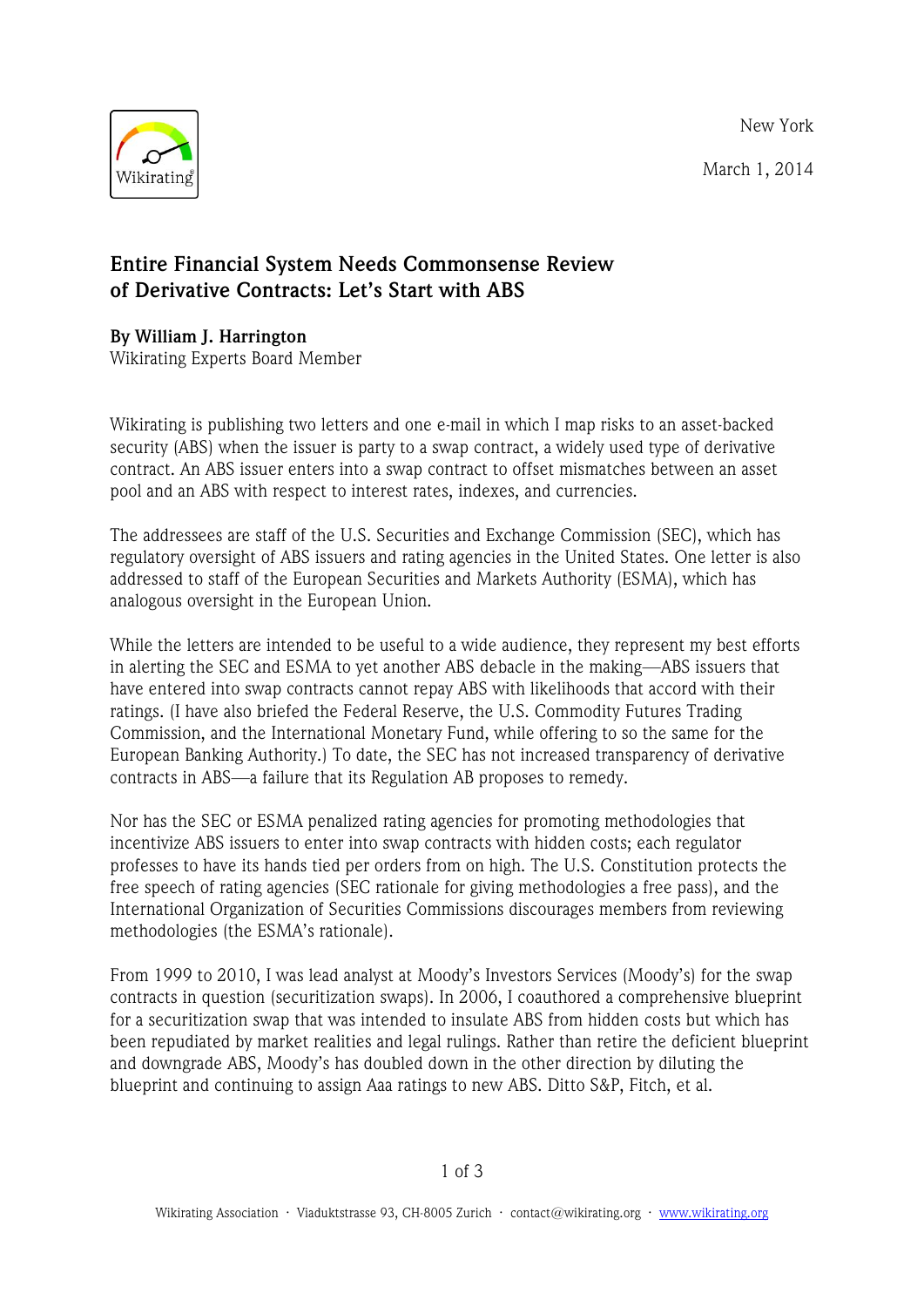New York

March 1, 2014



## **Entire Financial System Needs Commonsense Review of Derivative Contracts: Let's Start with ABS**

## **By William J. Harrington**

Wikirating Experts Board Member

Wikirating is publishing two letters and one e-mail in which I map risks to an asset-backed security (ABS) when the issuer is party to a swap contract, a widely used type of derivative contract. An ABS issuer enters into a swap contract to offset mismatches between an asset pool and an ABS with respect to interest rates, indexes, and currencies.

The addressees are staff of the U.S. Securities and Exchange Commission (SEC), which has regulatory oversight of ABS issuers and rating agencies in the United States. One letter is also addressed to staff of the European Securities and Markets Authority (ESMA), which has analogous oversight in the European Union.

While the letters are intended to be useful to a wide audience, they represent my best efforts in alerting the SEC and ESMA to yet another ABS debacle in the making—ABS issuers that have entered into swap contracts cannot repay ABS with likelihoods that accord with their ratings. (I have also briefed the Federal Reserve, the U.S. Commodity Futures Trading Commission, and the International Monetary Fund, while offering to so the same for the European Banking Authority.) To date, the SEC has not increased transparency of derivative contracts in ABS—a failure that its Regulation AB proposes to remedy.

Nor has the SEC or ESMA penalized rating agencies for promoting methodologies that incentivize ABS issuers to enter into swap contracts with hidden costs; each regulator professes to have its hands tied per orders from on high. The U.S. Constitution protects the free speech of rating agencies (SEC rationale for giving methodologies a free pass), and the International Organization of Securities Commissions discourages members from reviewing methodologies (the ESMA's rationale).

From 1999 to 2010, I was lead analyst at Moody's Investors Services (Moody's) for the swap contracts in question (securitization swaps). In 2006, I coauthored a comprehensive blueprint for a securitization swap that was intended to insulate ABS from hidden costs but which has been repudiated by market realities and legal rulings. Rather than retire the deficient blueprint and downgrade ABS, Moody's has doubled down in the other direction by diluting the blueprint and continuing to assign Aaa ratings to new ABS. Ditto S&P, Fitch, et al.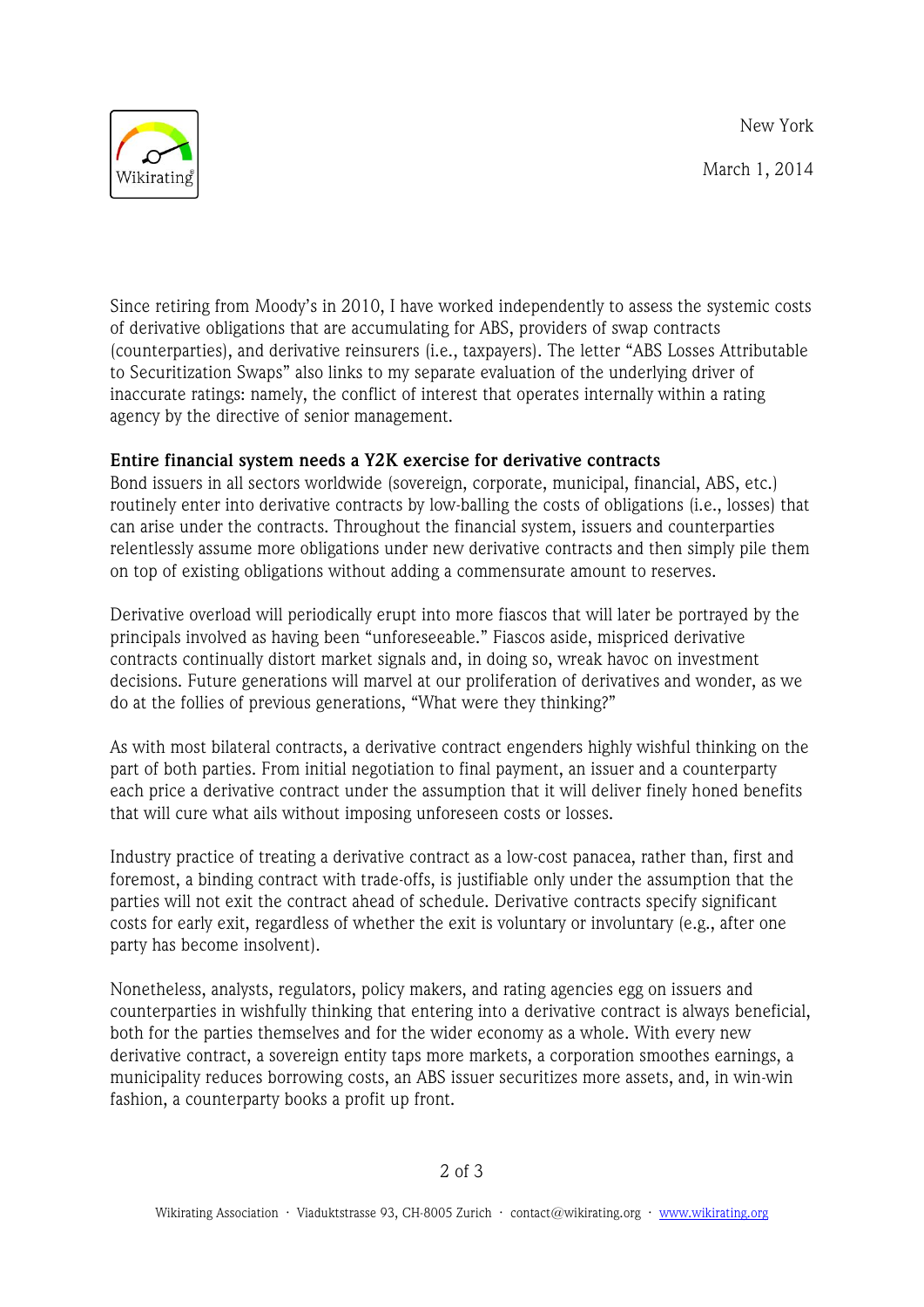New York

March 1, 2014



Since retiring from Moody's in 2010, I have worked independently to assess the systemic costs of derivative obligations that are accumulating for ABS, providers of swap contracts (counterparties), and derivative reinsurers (i.e., taxpayers). The letter "ABS Losses Attributable to Securitization Swaps" also links to my separate evaluation of the underlying driver of inaccurate ratings: namely, the conflict of interest that operates internally within a rating agency by the directive of senior management.

## **Entire financial system needs a Y2K exercise for derivative contracts**

Bond issuers in all sectors worldwide (sovereign, corporate, municipal, financial, ABS, etc.) routinely enter into derivative contracts by low-balling the costs of obligations (i.e., losses) that can arise under the contracts. Throughout the financial system, issuers and counterparties relentlessly assume more obligations under new derivative contracts and then simply pile them on top of existing obligations without adding a commensurate amount to reserves.

Derivative overload will periodically erupt into more fiascos that will later be portrayed by the principals involved as having been "unforeseeable." Fiascos aside, mispriced derivative contracts continually distort market signals and, in doing so, wreak havoc on investment decisions. Future generations will marvel at our proliferation of derivatives and wonder, as we do at the follies of previous generations, "What were they thinking?"

As with most bilateral contracts, a derivative contract engenders highly wishful thinking on the part of both parties. From initial negotiation to final payment, an issuer and a counterparty each price a derivative contract under the assumption that it will deliver finely honed benefits that will cure what ails without imposing unforeseen costs or losses.

Industry practice of treating a derivative contract as a low-cost panacea, rather than, first and foremost, a binding contract with trade-offs, is justifiable only under the assumption that the parties will not exit the contract ahead of schedule. Derivative contracts specify significant costs for early exit, regardless of whether the exit is voluntary or involuntary (e.g., after one party has become insolvent).

Nonetheless, analysts, regulators, policy makers, and rating agencies egg on issuers and counterparties in wishfully thinking that entering into a derivative contract is always beneficial, both for the parties themselves and for the wider economy as a whole. With every new derivative contract, a sovereign entity taps more markets, a corporation smoothes earnings, a municipality reduces borrowing costs, an ABS issuer securitizes more assets, and, in win-win fashion, a counterparty books a profit up front.